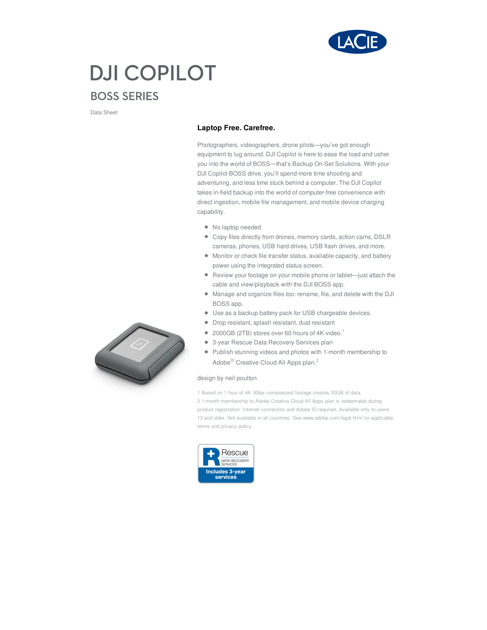

## **DJI COPILOT BOSS SERIES**

Data Sheet

## **Laptop Free. Carefree.**

Photographers, videographers, drone pilots—you've got enough equipment to lug around. DJI Copilot is here to ease the load and usher you into the world of BOSS—that's Backup On-Set Solutions. With your DJI Copilot BOSS drive, you'll spend more time shooting and adventuring, and less time stuck behind a computer. The DJI Copilot takes in-field backup into the world of computer-free convenience with direct ingestion, mobile file management, and mobile device charging capability.

- No laptop needed
- Copy files directly from drones, memory cards, action cams, DSLR cameras, phones, USB hard drives, USB flash drives, and more.
- Monitor or check file transfer status, available capacity, and battery power using the integrated status screen.
- Review your footage on your mobile phone or tablet—just attach the cable and view/playback with the DJI BOSS app.
- Manage and organize files too: rename, file, and delete with the DJI BOSS app.
- Use as a backup battery pack for USB chargeable devices.
- Drop resistant, splash resistant, dust resistant
- 2000GB (2TB) stores over 60 hours of 4K video.<sup>1</sup>
- 3-year Rescue Data Recovery Services plan
- Publish stunning videos and photos with 1-month membership to Adobe® Creative Cloud All Apps plan.<sup>2</sup>

## design by neil poulton

1 Based on 1 hour of 4K 30fps compressed footage creates 30GB of data. 2 1-month membership to Adobe Creative Cloud All Apps plan is redeemable during product registration. Internet connection and Adobe ID required. Available only to users 13 and older. Not available in all countries. See www.adobe.com/legal.html for applicable terms and privacy policy.